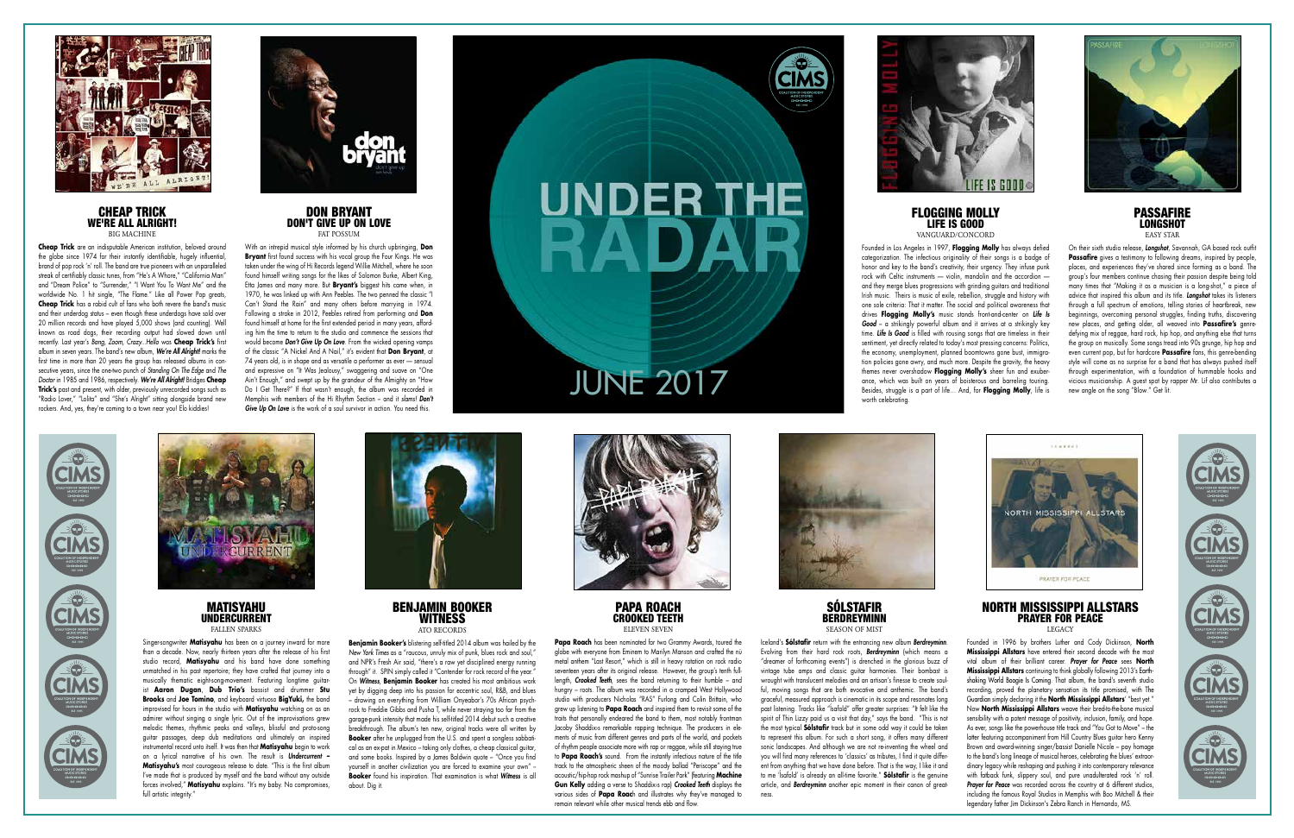Singer-songwriter **Matisyahu** has been on a journey inward for more than a decade. Now, nearly thirteen years after the release of his first studio record, **Matisyahu** and his band have done something unmatched in his past repertoire; they have crafted that journey into a musically thematic eight-song-movement. Featuring longtime guitarist **Aaron Dugan**, **Dub Trio's** bassist and drummer **Stu Brooks** and **Joe Tomino**, and keyboard virtuoso **BigYuki,** the band improvised for hours in the studio with **Matisyahu** watching on as an admirer without singing a single lyric. Out of the improvisations grew melodic themes, rhythmic peaks and valleys, blissful and proto-song guitar passages, deep dub meditations and ultimately an inspired instrumental record unto itself. It was then that **Matisyahu** begin to work on a lyrical narrative of his own. The result is *Undercurrent* **– Matisyahu's** most courageous release to date. "This is the first album I've made that is produced by myself and the band without any outside forces involved," **Matisyahu** explains. "It's my baby. No compromises, full artistic integrity."



**Benjamin Booker's** blistering self-titled 2014 album was hailed by the *New York Times* as a "raucous, unruly mix of punk, blues rock and soul," and NPR's Fresh Air said, "there's a raw yet disciplined energy running through" it. SPIN simply called it "Contender for rock record of the year." On *Witness*, **Benjamin Booker** has created his most ambitious work yet by digging deep into his passion for eccentric soul, R&B, and blues – drawing on everything from William Onyeabor's 70s African psychrock to Freddie Gibbs and Pusha T, while never straying too far from the garage-punk intensity that made his self-titled 2014 debut such a creative breakthrough. The album's ten new, original tracks were all written by **Booker** after he unplugged from the U.S. and spent a songless sabbatical as an ex-pat in Mexico – taking only clothes, a cheap classical guitar, and some books. Inspired by a James Baldwin quote – "Once you find yourself in another civilization you are forced to examine your own" -- **Booker** found his inspiration. That examination is what *Witness* is all about. Dig it.



BENJAMIN BOOKER **WITNESS** ATO RECORDS

> Papa Roach has been nominated for two Grammy Awards, toured the globe with everyone from Eminem to Marilyn Manson and crafted the nü metal anthem "Last Resort," which is still in heavy rotation on rock radio seventeen years after its original release. However, the group's tenth fulllength, *Crooked Teeth*, sees the band returning to their humble – and hungry – roots. The album was recorded in a cramped West Hollywood studio with producers Nicholas "RAS" Furlong and Colin Brittain, who grew up listening to **Papa Roach** and inspired them to revisit some of the traits that personally endeared the band to them, most notably frontman Jacoby Shaddix›s remarkable rapping technique. The producers in elements of music from different genres and parts of the world, and pockets of rhythm people associate more with rap or reggae, while still staying true to **Papa Roach's** sound. From the instantly infectious nature of the title track to the atmospheric sheen of the moody ballad "Periscope" and the acoustic/hip-hop rock mashup of "Sunrise Trailer Park" (featuring **Machine Gun Kelly** adding a verse to Shaddix›s rap) *Crooked Teeth* displays the various sides of **Papa Roac**h and illustrates why they've managed to remain relevant while other musical trends ebb and flow.

### SÓLSTAFIR **BERDREYMINN** SEASON OF MIST



PAPA ROACH CROOKED TEETH ELEVEN SEVEN

### NORTH MISSISSIPPI ALLSTARS PRAYER FOR PEACE **LEGACY**

With an intrepid musical style informed by his church upbringing, **Don Bryant** first found success with his vocal group the Four Kings. He was taken under the wing of Hi Records legend Willie Mitchell, where he soon found himself writing songs for the likes of Solomon Burke, Albert King, Etta James and many more. But **Bryant's** biggest hits came when, in 1970, he was linked up with Ann Peebles. The two penned the classic "I Can't Stand the Rain" and many others before marrying in 1974. Following a stroke in 2012, Peebles retired from performing and **Don** found himself at home for the first extended period in many years, affording him the time to return to the studio and commence the sessions that would become *Don't Give Up On Love*. From the wicked opening vamps of the classic "A Nickel And A Nail," it's evident that **Don Bryant**, at 74 years old, is in shape and as versatile a performer as ever — sensual and expressive on "It Was Jealousy," swaggering and suave on "One Ain't Enough," and swept up by the grandeur of the Almighty on "How Do I Get There?" If that wasn't enough, the album was recorded in Memphis with members of the Hi Rhythm Section – and it *slams! Don't Give Up On Love* is the work of a soul survivor in action. You need this.





Iceland's **Sólstafir** return with the entrancing new album *Berdreyminn*. Evolving from their hard rock roots, *Berdreyminn* (which means a "dreamer of forthcoming events") is drenched in the glorious buzz of vintage tube amps and classic guitar harmonies. Their bombast is wrought with translucent melodies and an artisan's finesse to create soulful, moving songs that are both evocative and anthemic. The band's graceful, measured approach is cinematic in its scope and resonates long past listening. Tracks like "Ísafold" offer greater surprises: "It felt like the spirit of Thin Lizzy paid us a visit that day," says the band. "This is not the most typical **Sólstafir** track but in some odd way it could be taken to represent this album. For such a short song, it offers many different sonic landscapes. And although we are not re-inventing the wheel and you will find many references to 'classics' as tributes, I find it quite different from anything that we have done before. That is the way, I like it and to me 'Ísafold' is already an all-time favorite." **Sólstafir** is the genuine article, and *Berdreyminn* another epic moment in their canon of greatness.



Founded in 1996 by brothers Luther and Cody Dickinson, **North Mississippi Allstars** have entered their second decade with the most vital album of their brilliant career. *Prayer for Peace* sees **North Mississippi Allstars** continuing to think globally following 2013's Earthshaking World Boogie Is Coming. That album, the band's seventh studio recording, proved the planetary sensation its title promised, with The Guardian simply declaring it the **North Mississippi Allstars**' "best yet." Now **North Mississippi Allstars** weave their bred-to-the-bone musical sensibility with a potent message of positivity, inclusion, family, and hope. As ever, songs like the powerhouse title track and "You Got to Move" – the latter featuring accompaniment from Hill Country Blues guitar hero Kenny Brown and award-winning singer/bassist Danielle Nicole – pay homage to the band's long lineage of musical heroes, celebrating the blues' extraordinary legacy while reshaping and pushing it into contemporary relevance with fatback funk, slippery soul, and pure unadulterated rock 'n' roll. **Prayer for Peace** was recorded across the country at 6 different studios, including the famous Royal Studios in Memphis with Boo Mitchell & their legendary father Jim Dickinson's Zebra Ranch in Hernando, MS.





### CHEAP TRICK WE'RE ALL ALRIGHT! BIG MACHINE

**Cheap Trick** are an indisputable American institution, beloved around the globe since 1974 for their instantly identifiable, hugely influential, brand of pop rock 'n' roll. The band are true pioneers with an unparalleled streak of certifiably classic tunes, from "He's A Whore," "California Man" and "Dream Police" to "Surrender," "I Want You To Want Me" and the worldwide No. 1 hit single, "The Flame." Like all Power Pop greats, **Cheap Trick** has a rabid cult of fans who both revere the band's music and their underdog status – even though these underdogs have sold over 20 million records and have played 5,000 shows (and counting). Well known as road dogs, their recording output had slowed down until recently. Last year's *Bang, Zoom, Crazy...Hello* was **Cheap Trick's** first album in seven years. The band's new album, *We're All Alright!* marks the first time in more than 20 years the group has released albums in consecutive years, since the one-two punch of *Standing On The Edge* and *The Doctor* in 1985 and 1986, respectively. *We're All Alright!* Bridges **Cheap Trick's** past and present, with older, previously unrecorded songs such as "Radio Lover," "Lolita" and "She's Alright" sitting alongside brand new rockers. And, yes, they're coming to a town near you! Elo kiddies!



### DON BRYANT DON'T GIVE UP ON LOVE FAT POSSUM

JUNE 2017



### FLOGGING MOLLY LIFE IS GOOD VANGUARD/CONCORD



Founded in Los Angeles in 1997, **Flogging Molly** has always defied categorization. The infectious originality of their songs is a badge of honor and key to the band's creativity, their urgency. They infuse punk rock with Celtic instruments — violin, mandolin and the accordion and they merge blues progressions with grinding guitars and traditional Irish music. Theirs is music of exile, rebellion, struggle and history with one sole criteria: That it matter. The social and political awareness that drives **Flogging Molly's** music stands front-and-center on *Life Is Good* – a strikingly powerful album and it arrives at a strikingly key time. *Life Is Good* is filled with rousing songs that are timeless in their sentiment, yet directly related to today's most pressing concerns: Politics, the economy, unemployment, planned boomtowns gone bust, immigration policies gone awry, and much more. Despite the gravity, the heavy themes never overshadow **Flogging Molly's** sheer fun and exuberance, which was built on years of boisterous and barreling touring. Besides, struggle is a part of life… And, for **Flogging Molly**, life is worth celebrating.





### MATISYAHU UNDERCURRENT EALLEN SPARKS



On their sixth studio release, *Longshot*, Savannah, GA based rock outfit **Passafire** gives a testimony to following dreams, inspired by people, places, and experiences they've shared since forming as a band. The group's four members continue chasing their passion despite being told many times that "Making it as a musician is a long-shot," a piece of advice that inspired this album and its title. *Longshot* takes its listeners through a full spectrum of emotions, telling stories of heartbreak, new beginnings, overcoming personal struggles, finding truths, discovering new places, and getting older, all weaved into **Passafire's** genredefying mix of reggae, hard rock, hip hop, and anything else that turns the group on musically. Some songs tread into 90s grunge, hip hop and even current pop, but for hardcore **Passafire** fans, this genre-bending style will come as no surprise for a band that has always pushed itself through experimentation, with a foundation of hummable hooks and vicious musicianship. A guest spot by rapper Mr. Lif also contributes a new angle on the song "Blow." Get lit.

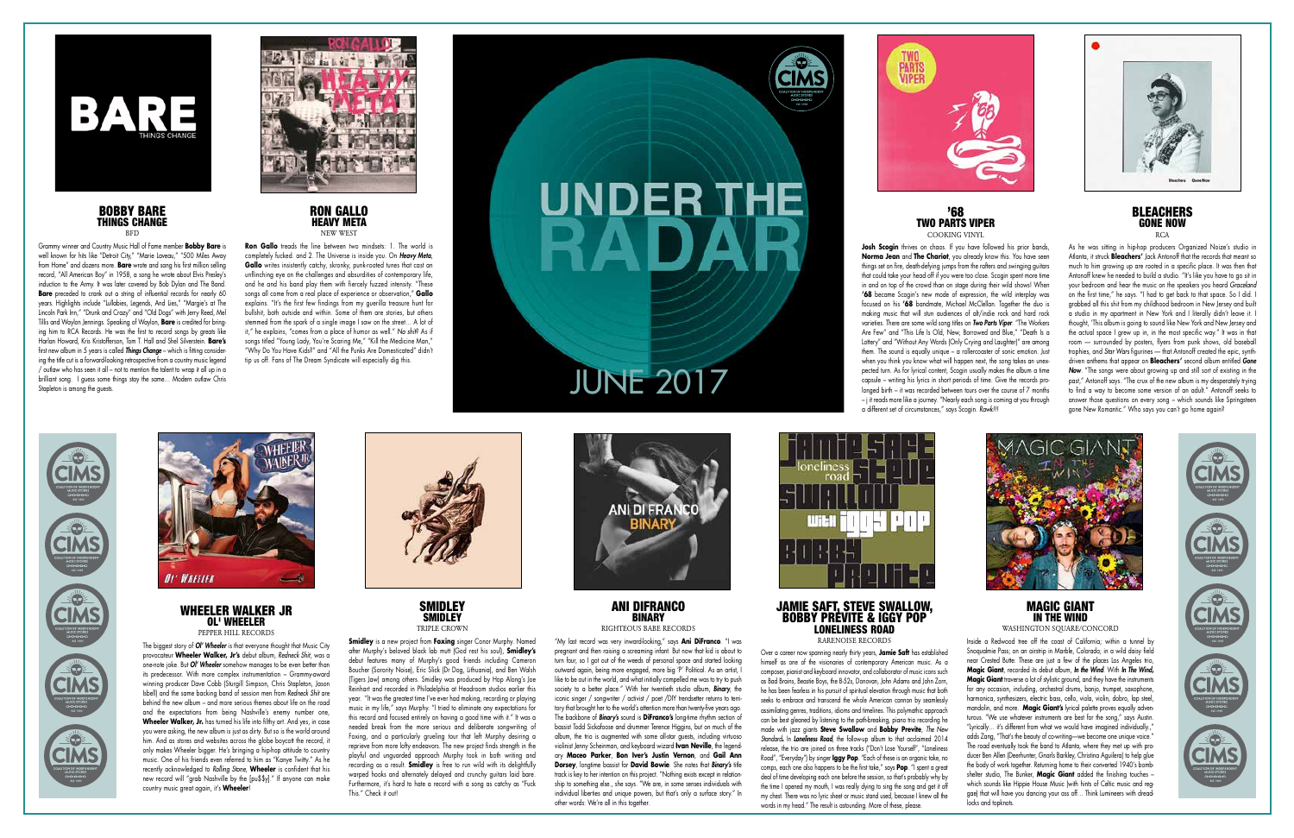**SMIDLEY SMIDLEY** TRIPLE CROWN

The biggest story of *Ol' Wheeler* is that everyone thought that Music City provocateur **Wheeler Walker, Jr's** debut album, *Redneck Shit*, was a one-note joke. But *Ol' Wheeler* somehow manages to be even better than its predecessor. With more complex instrumentation – Grammy-award winning producer Dave Cobb (Sturgill Simpson, Chris Stapleton, Jason Isbell) and the same backing band of session men from *Redneck Shit* are behind the new album – and more serious themes about life on the road and the expectations from being Nashville's enemy number one, **Wheeler Walker, Jr.** has turned his life into filthy art. And yes, in case you were asking, the new album is just as dirty. But so is the world around him. And as stores and websites across the globe boycott the record, it only makes Wheeler bigger. He's bringing a hip-hop attitude to country music. One of his friends even referred to him as "Kanye Twitty." As he recently acknowledged to *Rolling Stone*, **Wheeler** is confident that his new record will "grab Nashville by the [pu\$\$y]." If anyone can make country music great again, it's **Wheeler**!



**Smidley** is a new project from Foxing singer Conor Murphy. Named after Murphy's beloved black lab mutt (God rest his soul), **Smidley's** debut features many of Murphy's good friends including Cameron Boucher (Sorority Noise), Eric Slick (Dr Dog, Lithuania), and Ben Walsh (Tigers Jaw) among others. Smidley was produced by Hop Along's Joe Reinhart and recorded in Philadelphia at Headroom studios earlier this year. "It was the greatest time I've ever had making, recording or playing music in my life," says Murphy. "I tried to eliminate any expectations for this record and focused entirely on having a good time with it." It was a needed break from the more serious and deliberate songwriting of Foxing, and a particularly grueling tour that left Murphy desiring a reprieve from more lofty endeavors. The new project finds strength in the playful and unguarded approach Murphy took in both writing and recording as a result. **Smidley** is free to run wild with its delightfully warped hooks and alternately delayed and crunchy guitars laid bare. Furthermore, it's hard to hate a record with a song as catchy as "Fuck This." Check it out!

ANI DIFRANCO **BINARY** 



RIGHTEOUS BABE RECORDS

### MAGIC GIANT IN THE WIND WASHINGTON SOUARE/CONCORD

"My last record was very inward-looking," says **Ani DiFranco**. "I was pregnant and then raising a screaming infant. But now that kid is about to turn four, so I got out of the weeds of personal space and started looking outward again, being more engaged, more big 'P' Political. As an artist, I like to be out in the world, and what initially compelled me was to try to push society to a better place." With her twentieth studio album, *Binary*, the iconic singer / songwriter / activist / poet /DIY trendsetter returns to territory that brought her to the world's attention more than twenty-five years ago. The backbone of *Binary's* sound is **DiFranco's** long-time rhythm section of bassist Todd Sickafoose and drummer Terence Higgins, but on much of the album, the trio is augmented with some all-star guests, including virtuoso violinist Jenny Scheinman, and keyboard wizard **Ivan Neville**, the legendary **Maceo Parker**, **Bon Iver's Justin Vernon**, and **Gail Ann Dorsey**, longtime bassist for **David Bowie**. She notes that *Binary's* title track is key to her intention on this project. "Nothing exists except in relationship to something else., she says. "We are, in some senses individuals with individual liberties and unique powers, but that's only a surface story." In other words: We're all in this together.





### BOBBY BARE THINGS CHANGE **BED**

Grammy winner and Country Music Hall of Fame member **Bobby Bare** is well known for hits like "Detroit City," "Marie Laveau," "500 Miles Away from Home" and dozens more. **Bare** wrote and sang his first million selling record, "All American Boy" in 1958, a song he wrote about Elvis Presley's induction to the Army. It was later covered by Bob Dylan and The Band. **Bare** preceded to crank out a string of influential records for nearly 60 years. Highlights include "Lullabies, Legends, And Lies," "Margie's at The Lincoln Park Inn," "Drunk and Crazy" and "Old Dogs" with Jerry Reed, Mel Tillis and Waylon Jennings. Speaking of Waylon, **Bare** is credited for bringing him to RCA Records. He was the first to record songs by greats like Harlan Howard, Kris Kristofferson, Tom T. Hall and Shel Silverstein. **Bare's** first new album in 5 years is called *Things Change* – which is fitting considering the title cut is a forward-looking retrospective from a country music legend / outlaw who has seen it all – not to mention the talent to wrap it all up in a brilliant song. I guess some things stay the same… Modern outlaw Chris Stapleton is among the quests.



### JAMIE SAFT, STEVE SWALLOW, BOBBY PREVITE & IGGY POP LONELINESS ROAD RARENOISE RECORDS

Over a career now spanning nearly thirty years, **Jamie Saft** has established himself as one of the visionaries of contemporary American music. As a composer, pianist and keyboard innovator, and collaborator of music icons such as Bad Brains, Beastie Boys, the B-52s, Donovan, John Adams and John Zorn, he has been fearless in his pursuit of spiritual elevation through music that both seeks to embrace and transcend the whole American cannon by seamlessly assimilating genres, traditions, idioms and timelines. This polymathic approach can be best gleaned by listening to the path-breaking, piano trio recording he made with jazz giants **Steve Swallow** and **Bobby Previte**, *The New Standard***.** In *Loneliness Road*, the follow-up album to that acclaimed 2014 release, the trio are joined on three tracks ("Don't Lose Yourself", "Loneliness Road", "Everyday") by singer **Iggy Pop**. "Each of these is an organic take, no comps, each one also happens to be the first take," says **Pop**. "I spent a great deal of time developing each one before the session, so that's probably why by the time I opened my mouth, I was really dying to sing the song and get it off my chest. There was no lyric sheet or music stand used, because I knew all the words in my head." The result is astounding. More of these, please.





**Josh Scogin** thrives on chaos. If you have followed his prior bands, **Norma Jean** and **The Chariot**, you already know this. You have seen things set on fire, death-defying jumps from the rafters and swinging guitars that could take your head off if you were too close. Scogin spent more time in and on top of the crowd than on stage during their wild shows! When **'68** became Scogin's new mode of expression, the wild interplay was focused on his **'68** bandmate, Michael McClellan. Together the duo is making music that will stun audiences of alt/indie rock and hard rock varieties. There are some wild song titles on *Two Parts Viper*. "The Workers Are Few" and "This Life Is Old, New, Borrowed and Blue," "Death Is a Lottery" and "Without Any Words (Only Crying and Laughter)" are among them. The sound is equally unique – a rollercoaster of sonic emotion. Just when you think you know what will happen next, the song takes an unexpected turn. As for lyrical content, Scogin usually makes the album a time capsule – writing his lyrics in short periods of time. Give the records prolonged birth – it was recorded between tours over the course of 7 months – j it reads more like a journey. "Nearly each song is coming at you through a different set of circumstances," says Scogin. *Rawk!!!*

### BLEACHERS GONE NOW  $RCA$





### WHEELER WALKER JR OL' WHEELER PEPPER HILL RECORDS

Inside a Redwood tree off the coast of California; within a tunnel by Snoqualmie Pass; on an airstrip in Marble, Colorado; in a wild daisy field near Crested Butte: These are just a few of the places Los Angeles trio, **Magic Giant**, recorded its debut album, *In the Wind*. With *In The Wind***, Magic Giant** traverse a lot of stylistic ground, and they have the instruments for any occasion, including, orchestral drums, banjo, trumpet, saxophone, harmonica, synthesizers, electric bass, cello, viola, violin, dobro, lap steel, mandolin, and more. **Magic Giant's** lyrical palette proves equally adventurous. "We use whatever instruments are best for the song," says Austin. "Lyrically… it's different from what we would have imagined individually.," adds Zang, "That's the beauty of co-writing—we become one unique voice." The road eventually took the band to Atlanta, where they met up with producer Ben Allen (Deerhunter, Gnarls Barkley, Christina Aguilera) to help glue the body of work together. Returning home to their converted 1940's bombshelter studio, The Bunker, **Magic Giant** added the finishing touches – which sounds like Hippie House Music (with hints of Celtic music and reggae) that will have you dancing your ass off… Think Lumineers with dreadlocks and topknots.



### RON GALLO **HEAVY META** NEW WEST

**Ron Gallo** treads the line between two mindsets: 1. The world is completely fucked. and 2. The Universe is inside you. On *Heavy Meta*, Gallo writes insistently catchy, skronky, punk-rooted tunes that cast an unflinching eye on the challenges and absurdities of contemporary life, and he and his band play them with fiercely fuzzed intensity. "These songs all come from a real place of experience or observation," **Gallo** explains. "It's the first few findings from my guerilla treasure hunt for bullshit, both outside and within. Some of them are stories, but others stemmed from the spark of a single image I saw on the street… A lot of it," he explains, "comes from a place of humor as well." *No shit*? As if songs titled "Young Lady, You're Scaring Me," "Kill the Medicine Man," "Why Do You Have Kids?" and "All the Punks Are Domesticated" didn't tip us off. Fans of The Dream Syndicate will especially dig this.



## UNDER THE RAI

JUNE 2017



### '68 TWO PARTS VIPER COOKING VINYL

As he was sitting in hip-hop producers Organized Noize's studio in Atlanta, it struck **Bleachers'** Jack Antonoff that the records that meant so much to him growing up are rooted in a specific place. It was then that Antonoff knew he needed to build a studio. "It's like you have to go sit in your bedroom and hear the music on the speakers you heard *Graceland*  on the first time," he says. "I had to get back to that space. So I did. I grabbed all this shit from my childhood bedroom in New Jersey and built a studio in my apartment in New York and I literally didn't leave it. I thought, 'This album is going to sound like New York and New Jersey and the actual space I grew up in, in the most specific way." It was in that room — surrounded by posters, flyers from punk shows, old baseball trophies, and *Star Wars* figurines — that Antonoff created the epic, synthdriven anthems that appear on **Bleachers'** second album entitled *Gone Now*. "The songs were about growing up and still sort of existing in the past," Antonoff says. "The crux of the new album is my desperately trying to find a way to become some version of an adult." Antonoff seeks to answer those questions on every song – which sounds like Springsteen gone New Romantic." Who says you can't go home again?